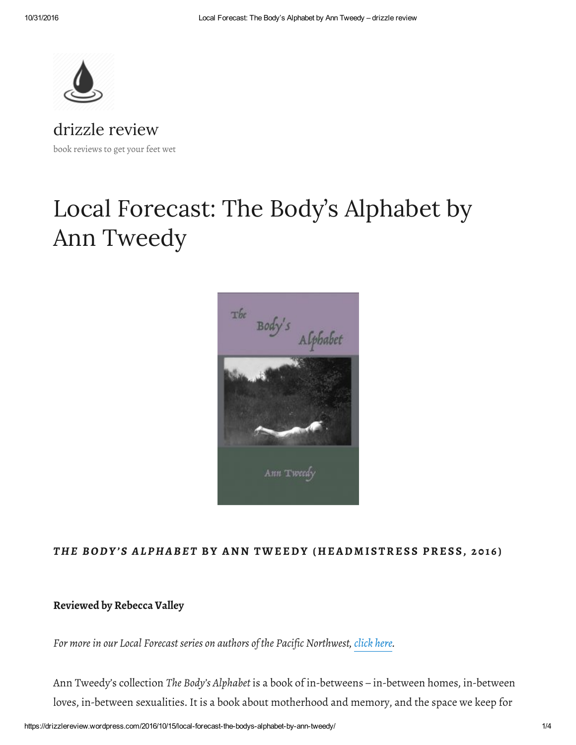

[drizzle](https://drizzlereview.wordpress.com/) review book reviews to get your feet wet

# Local Forecast: The Body's Alphabet by Ann Tweedy



### THE BODY'S ALPHABET BY ANN TWEEDY (HEADMISTRESS PRESS, 2016)

### Reviewed by Rebecca Valley

For more in our Local Forecast series on authors of the Pacific Northwest, [click](https://drizzlereview.wordpress.com/local-forecast-writers-of-the-pacific-northwest/) here.

Ann Tweedy's collection The Body's Alphabet is a book of in-betweens – in-between homes, in-between loves, in-between sexualities. It is a book about motherhood and memory, and the space we keep for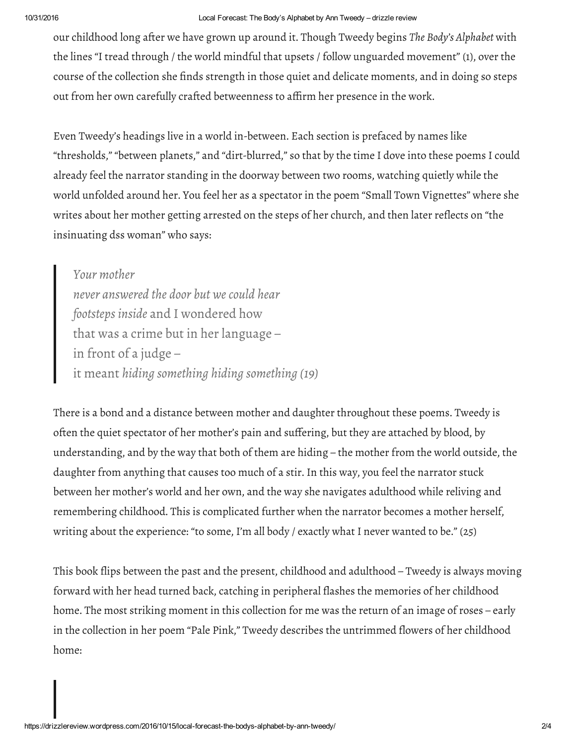#### 10/31/2016 Local Forecast: The Body's Alphabet by Ann Tweedy – drizzle review

our childhood long after we have grown up around it. Though Tweedy begins The Body's Alphabet with the lines "I tread through / the world mindful that upsets / follow unguarded movement" (1), over the course of the collection she finds strength in those quiet and delicate moments, and in doing so steps out from her own carefully crafted betweenness to affirm her presence in the work.

Even Tweedy's headings live in a world in-between. Each section is prefaced by names like "thresholds," "between planets," and "dirt-blurred," so that by the time I dove into these poems I could already feel the narrator standing in the doorway between two rooms, watching quietly while the world unfolded around her. You feel her as a spectator in the poem "Small Town Vignettes" where she writes about her mother getting arrested on the steps of her church, and then later reflects on "the insinuating dss woman" who says:

Your mother never answered the door but we could hear footsteps inside and I wondered how that was a crime but in her language – in front of a judge – it meant hiding something hiding something (19)

There is a bond and a distance between mother and daughter throughout these poems. Tweedy is often the quiet spectator of her mother's pain and suffering, but they are attached by blood, by understanding, and by the way that both of them are hiding – the mother from the world outside, the daughter from anything that causes too much of a stir. In this way, you feel the narrator stuck between her mother's world and her own, and the way she navigates adulthood while reliving and remembering childhood. This is complicated further when the narrator becomes a mother herself, writing about the experience: "to some, I'm all body / exactly what I never wanted to be." (25)

This book flips between the past and the present, childhood and adulthood – Tweedy is always moving forward with her head turned back, catching in peripheral flashes the memories of her childhood home. The most striking moment in this collection for me was the return of an image of roses – early in the collection in her poem "Pale Pink," Tweedy describes the untrimmed flowers of her childhood home: